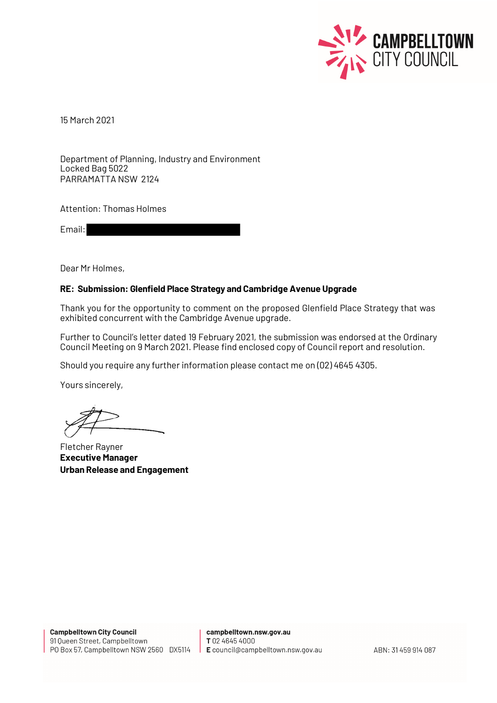

15 March 2021

Department of Planning, Industry and Environment Locked Bag 5022 PARRAMATTA NSW 2124

Attention: Thomas Holmes

Email:

Dear Mr Holmes,

#### **RE: Submission: Glenfield Place Strategy and Cambridge Avenue Upgrade**

Thank you for the opportunity to comment on the proposed Glenfield Place Strategy that was exhibited concurrent with the Cambridge Avenue upgrade.

Further to Council's letter dated 19 February 2021, the submission was endorsed at the Ordinary Council Meeting on 9 March 2021. Please find enclosed copy of Council report and resolution.

Should you require any further information please contact me on (02) 4645 4305.

Yours sincerely,

Fletcher Rayner **Executive Manager Urban Release and Engagement**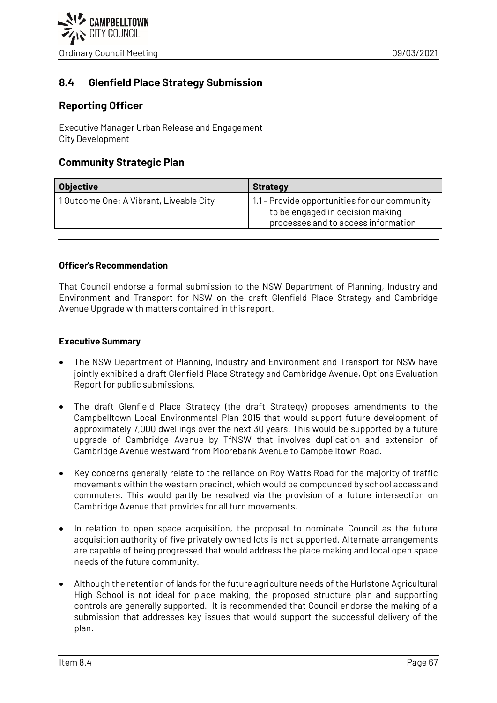

# **8.4 Glenfield Place Strategy Submission**

# **Reporting Officer**

Executive Manager Urban Release and Engagement City Development

## **Community Strategic Plan**

| <b>Objective</b>                       | <b>Strategy</b>                                                                                                          |
|----------------------------------------|--------------------------------------------------------------------------------------------------------------------------|
| 10utcome One: A Vibrant, Liveable City | 1.1 - Provide opportunities for our community<br>to be engaged in decision making<br>processes and to access information |

### **Officer's Recommendation**

That Council endorse a formal submission to the NSW Department of Planning, Industry and Environment and Transport for NSW on the draft Glenfield Place Strategy and Cambridge Avenue Upgrade with matters contained in this report.

#### **Executive Summary**

- The NSW Department of Planning, Industry and Environment and Transport for NSW have jointly exhibited a draft Glenfield Place Strategy and Cambridge Avenue, Options Evaluation Report for public submissions.
- The draft Glenfield Place Strategy (the draft Strategy) proposes amendments to the Campbelltown Local Environmental Plan 2015 that would support future development of approximately 7,000 dwellings over the next 30 years. This would be supported by a future upgrade of Cambridge Avenue by TfNSW that involves duplication and extension of Cambridge Avenue westward from Moorebank Avenue to Campbelltown Road.
- Key concerns generally relate to the reliance on Roy Watts Road for the majority of traffic movements within the western precinct, which would be compounded by school access and commuters. This would partly be resolved via the provision of a future intersection on Cambridge Avenue that provides for all turn movements.
- In relation to open space acquisition, the proposal to nominate Council as the future acquisition authority of five privately owned lots is not supported. Alternate arrangements are capable of being progressed that would address the place making and local open space needs of the future community.
- Although the retention of lands for the future agriculture needs of the Hurlstone Agricultural High School is not ideal for place making, the proposed structure plan and supporting controls are generally supported. It is recommended that Council endorse the making of a submission that addresses key issues that would support the successful delivery of the plan.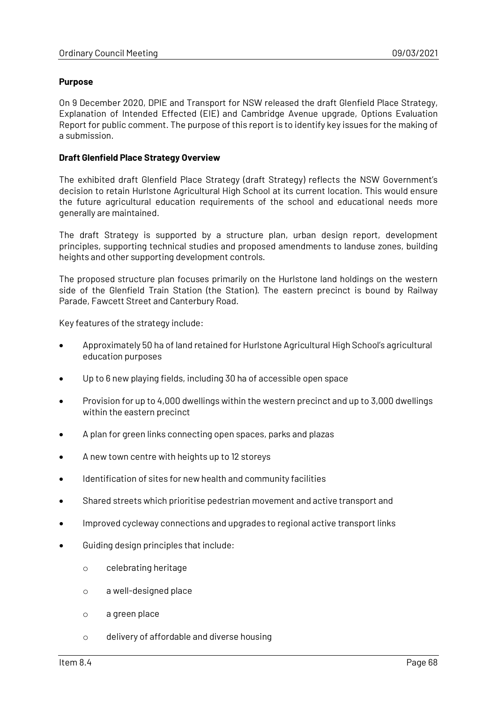#### **Purpose**

On 9 December 2020, DPIE and Transport for NSW released the draft Glenfield Place Strategy, Explanation of Intended Effected (EIE) and Cambridge Avenue upgrade, Options Evaluation Report for public comment. The purpose of this report is to identify key issues for the making of a submission.

## **Draft Glenfield Place Strategy Overview**

The exhibited draft Glenfield Place Strategy (draft Strategy) reflects the NSW Government's decision to retain Hurlstone Agricultural High School at its current location. This would ensure the future agricultural education requirements of the school and educational needs more generally are maintained.

The draft Strategy is supported by a structure plan, urban design report, development principles, supporting technical studies and proposed amendments to landuse zones, building heights and other supporting development controls.

The proposed structure plan focuses primarily on the Hurlstone land holdings on the western side of the Glenfield Train Station (the Station). The eastern precinct is bound by Railway Parade, Fawcett Street and Canterbury Road.

Key features of the strategy include:

- Approximately 50 ha of land retained for Hurlstone Agricultural High School's agricultural education purposes
- Up to 6 new playing fields, including 30 ha of accessible open space
- Provision for up to 4,000 dwellings within the western precinct and up to 3,000 dwellings within the eastern precinct
- A plan for green links connecting open spaces, parks and plazas
- A new town centre with heights up to 12 storeys
- Identification of sites for new health and community facilities
- Shared streets which prioritise pedestrian movement and active transport and
- Improved cycleway connections and upgrades to regional active transport links
- Guiding design principles that include:
	- o celebrating heritage
	- o a well-designed place
	- o a green place
	- o delivery of affordable and diverse housing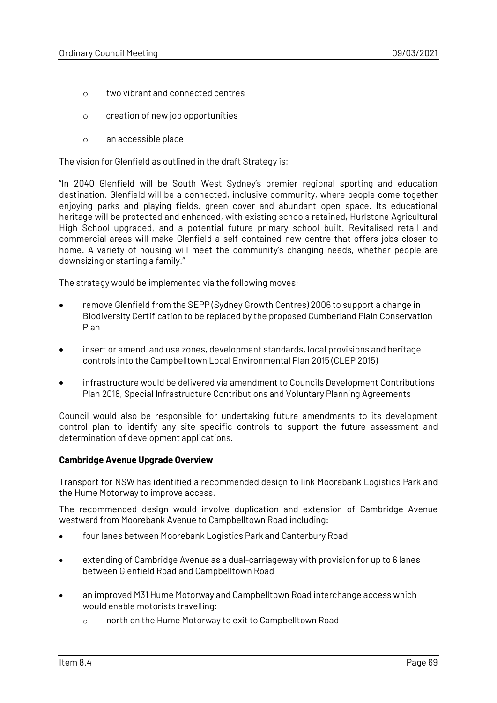- o two vibrant and connected centres
- o creation of new job opportunities
- o an accessible place

The vision for Glenfield as outlined in the draft Strategy is:

"In 2040 Glenfield will be South West Sydney's premier regional sporting and education destination. Glenfield will be a connected, inclusive community, where people come together enjoying parks and playing fields, green cover and abundant open space. Its educational heritage will be protected and enhanced, with existing schools retained, Hurlstone Agricultural High School upgraded, and a potential future primary school built. Revitalised retail and commercial areas will make Glenfield a self-contained new centre that offers jobs closer to home. A variety of housing will meet the community's changing needs, whether people are downsizing or starting a family."

The strategy would be implemented via the following moves:

- remove Glenfield from the SEPP (Sydney Growth Centres) 2006 to support a change in Biodiversity Certification to be replaced by the proposed Cumberland Plain Conservation Plan
- insert or amend land use zones, development standards, local provisions and heritage controls into the Campbelltown Local Environmental Plan 2015 (CLEP 2015)
- infrastructure would be delivered via amendment to Councils Development Contributions Plan 2018, Special Infrastructure Contributions and Voluntary Planning Agreements

Council would also be responsible for undertaking future amendments to its development control plan to identify any site specific controls to support the future assessment and determination of development applications.

#### **Cambridge Avenue Upgrade Overview**

Transport for NSW has identified a recommended design to link Moorebank Logistics Park and the Hume Motorway to improve access.

The recommended design would involve duplication and extension of Cambridge Avenue westward from Moorebank Avenue to Campbelltown Road including:

- four lanes between Moorebank Logistics Park and Canterbury Road
- extending of Cambridge Avenue as a dual-carriageway with provision for up to 6 lanes between Glenfield Road and Campbelltown Road
- an improved M31 Hume Motorway and Campbelltown Road interchange access which would enable motorists travelling:
	- o north on the Hume Motorway to exit to Campbelltown Road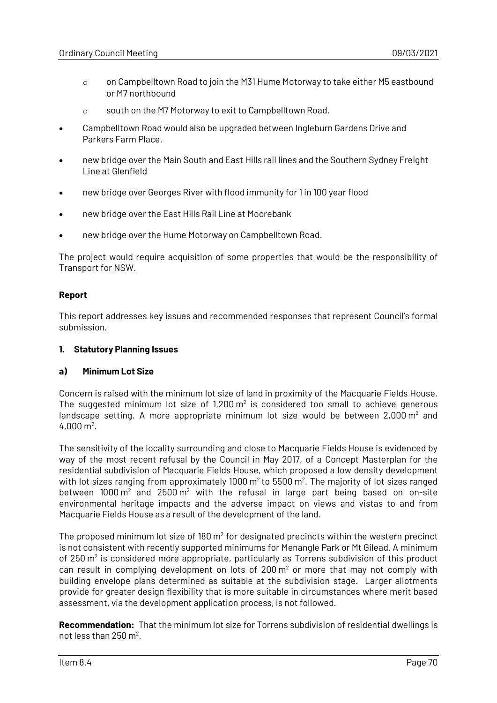- o on Campbelltown Road to join the M31 Hume Motorway to take either M5 eastbound or M7 northbound
- o south on the M7 Motorway to exit to Campbelltown Road.
- Campbelltown Road would also be upgraded between Ingleburn Gardens Drive and Parkers Farm Place.
- new bridge over the Main South and East Hills rail lines and the Southern Sydney Freight Line at Glenfield
- new bridge over Georges River with flood immunity for 1 in 100 year flood
- new bridge over the East Hills Rail Line at Moorebank
- new bridge over the Hume Motorway on Campbelltown Road.

The project would require acquisition of some properties that would be the responsibility of Transport for NSW.

## **Report**

This report addresses key issues and recommended responses that represent Council's formal submission.

## **1. Statutory Planning Issues**

### **a) Minimum Lot Size**

Concern is raised with the minimum lot size of land in proximity of the Macquarie Fields House. The suggested minimum lot size of  $1,200 \,\mathrm{m}^2$  is considered too small to achieve generous landscape setting. A more appropriate minimum lot size would be between  $2,000 \, \text{m}^2$  and  $4,000 \text{ m}^2$ .

The sensitivity of the locality surrounding and close to Macquarie Fields House is evidenced by way of the most recent refusal by the Council in May 2017, of a Concept Masterplan for the residential subdivision of Macquarie Fields House, which proposed a low density development with lot sizes ranging from approximately 1000  $m^2$  to 5500  $m^2$ . The majority of lot sizes ranged between  $1000 \, \text{m}^2$  and  $2500 \, \text{m}^2$  with the refusal in large part being based on on-site environmental heritage impacts and the adverse impact on views and vistas to and from Macquarie Fields House as a result of the development of the land.

The proposed minimum lot size of  $180 \text{ m}^2$  for designated precincts within the western precinct is not consistent with recently supported minimums for Menangle Park or Mt Gilead. A minimum of  $250 \,\mathrm{m}^2$  is considered more appropriate, particularly as Torrens subdivision of this product can result in complying development on lots of  $200 \, \text{m}^2$  or more that may not comply with building envelope plans determined as suitable at the subdivision stage. Larger allotments provide for greater design flexibility that is more suitable in circumstances where merit based assessment, via the development application process, is not followed.

**Recommendation:** That the minimum lot size for Torrens subdivision of residential dwellings is not less than  $250 \text{ m}^2$ .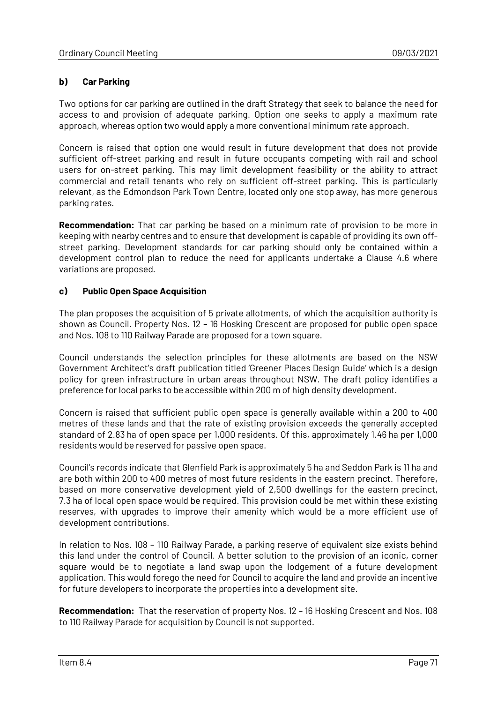## **b) Car Parking**

Two options for car parking are outlined in the draft Strategy that seek to balance the need for access to and provision of adequate parking. Option one seeks to apply a maximum rate approach, whereas option two would apply a more conventional minimum rate approach.

Concern is raised that option one would result in future development that does not provide sufficient off-street parking and result in future occupants competing with rail and school users for on-street parking. This may limit development feasibility or the ability to attract commercial and retail tenants who rely on sufficient off-street parking. This is particularly relevant, as the Edmondson Park Town Centre, located only one stop away, has more generous parking rates.

**Recommendation:** That car parking be based on a minimum rate of provision to be more in keeping with nearby centres and to ensure that development is capable of providing its own offstreet parking. Development standards for car parking should only be contained within a development control plan to reduce the need for applicants undertake a Clause 4.6 where variations are proposed.

### **c) Public Open Space Acquisition**

The plan proposes the acquisition of 5 private allotments, of which the acquisition authority is shown as Council. Property Nos. 12 – 16 Hosking Crescent are proposed for public open space and Nos. 108 to 110 Railway Parade are proposed for a town square.

Council understands the selection principles for these allotments are based on the NSW Government Architect's draft publication titled 'Greener Places Design Guide' which is a design policy for green infrastructure in urban areas throughout NSW. The draft policy identifies a preference for local parks to be accessible within 200 m of high density development.

Concern is raised that sufficient public open space is generally available within a 200 to 400 metres of these lands and that the rate of existing provision exceeds the generally accepted standard of 2.83 ha of open space per 1,000 residents. Of this, approximately 1.46 ha per 1,000 residents would be reserved for passive open space.

Council's records indicate that Glenfield Park is approximately 5 ha and Seddon Park is 11 ha and are both within 200 to 400 metres of most future residents in the eastern precinct. Therefore, based on more conservative development yield of 2,500 dwellings for the eastern precinct, 7.3 ha of local open space would be required. This provision could be met within these existing reserves, with upgrades to improve their amenity which would be a more efficient use of development contributions.

In relation to Nos. 108 – 110 Railway Parade, a parking reserve of equivalent size exists behind this land under the control of Council. A better solution to the provision of an iconic, corner square would be to negotiate a land swap upon the lodgement of a future development application. This would forego the need for Council to acquire the land and provide an incentive for future developers to incorporate the properties into a development site.

**Recommendation:** That the reservation of property Nos. 12 – 16 Hosking Crescent and Nos. 108 to 110 Railway Parade for acquisition by Council is not supported.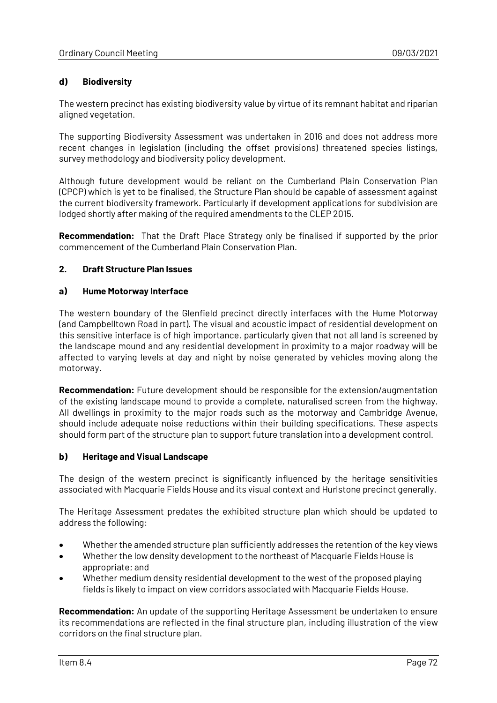## **d) Biodiversity**

The western precinct has existing biodiversity value by virtue of its remnant habitat and riparian aligned vegetation.

The supporting Biodiversity Assessment was undertaken in 2016 and does not address more recent changes in legislation (including the offset provisions) threatened species listings, survey methodology and biodiversity policy development.

Although future development would be reliant on the Cumberland Plain Conservation Plan (CPCP) which is yet to be finalised, the Structure Plan should be capable of assessment against the current biodiversity framework. Particularly if development applications for subdivision are lodged shortly after making of the required amendments to the CLEP 2015.

**Recommendation:** That the Draft Place Strategy only be finalised if supported by the prior commencement of the Cumberland Plain Conservation Plan.

## **2. Draft Structure Plan Issues**

#### **a) Hume Motorway Interface**

The western boundary of the Glenfield precinct directly interfaces with the Hume Motorway (and Campbelltown Road in part). The visual and acoustic impact of residential development on this sensitive interface is of high importance, particularly given that not all land is screened by the landscape mound and any residential development in proximity to a major roadway will be affected to varying levels at day and night by noise generated by vehicles moving along the motorway.

**Recommendation:** Future development should be responsible for the extension/augmentation of the existing landscape mound to provide a complete, naturalised screen from the highway. All dwellings in proximity to the major roads such as the motorway and Cambridge Avenue, should include adequate noise reductions within their building specifications. These aspects should form part of the structure plan to support future translation into a development control.

#### **b) Heritage and Visual Landscape**

The design of the western precinct is significantly influenced by the heritage sensitivities associated with Macquarie Fields House and its visual context and Hurlstone precinct generally.

The Heritage Assessment predates the exhibited structure plan which should be updated to address the following:

- Whether the amended structure plan sufficiently addresses the retention of the key views
- Whether the low density development to the northeast of Macquarie Fields House is appropriate; and
- Whether medium density residential development to the west of the proposed playing fields is likely to impact on view corridors associated with Macquarie Fields House.

**Recommendation:** An update of the supporting Heritage Assessment be undertaken to ensure its recommendations are reflected in the final structure plan, including illustration of the view corridors on the final structure plan.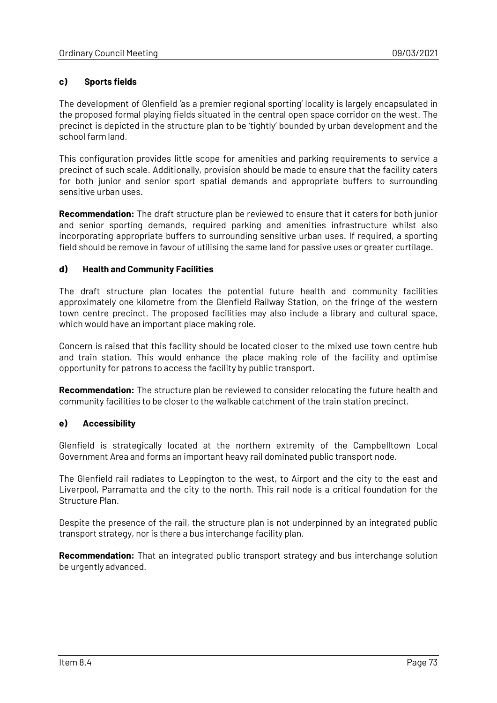## **c) Sports fields**

The development of Glenfield 'as a premier regional sporting' locality is largely encapsulated in the proposed formal playing fields situated in the central open space corridor on the west. The precinct is depicted in the structure plan to be 'tightly' bounded by urban development and the school farm land.

This configuration provides little scope for amenities and parking requirements to service a precinct of such scale. Additionally, provision should be made to ensure that the facility caters for both junior and senior sport spatial demands and appropriate buffers to surrounding sensitive urban uses.

**Recommendation:** The draft structure plan be reviewed to ensure that it caters for both junior and senior sporting demands, required parking and amenities infrastructure whilst also incorporating appropriate buffers to surrounding sensitive urban uses. If required, a sporting field should be remove in favour of utilising the same land for passive uses or greater curtilage.

### **d) Health and Community Facilities**

The draft structure plan locates the potential future health and community facilities approximately one kilometre from the Glenfield Railway Station, on the fringe of the western town centre precinct. The proposed facilities may also include a library and cultural space, which would have an important place making role.

Concern is raised that this facility should be located closer to the mixed use town centre hub and train station. This would enhance the place making role of the facility and optimise opportunity for patrons to access the facility by public transport.

**Recommendation:** The structure plan be reviewed to consider relocating the future health and community facilities to be closer to the walkable catchment of the train station precinct.

### **e) Accessibility**

Glenfield is strategically located at the northern extremity of the Campbelltown Local Government Area and forms an important heavy rail dominated public transport node.

The Glenfield rail radiates to Leppington to the west, to Airport and the city to the east and Liverpool, Parramatta and the city to the north. This rail node is a critical foundation for the Structure Plan.

Despite the presence of the rail, the structure plan is not underpinned by an integrated public transport strategy, nor is there a bus interchange facility plan.

**Recommendation:** That an integrated public transport strategy and bus interchange solution be urgently advanced.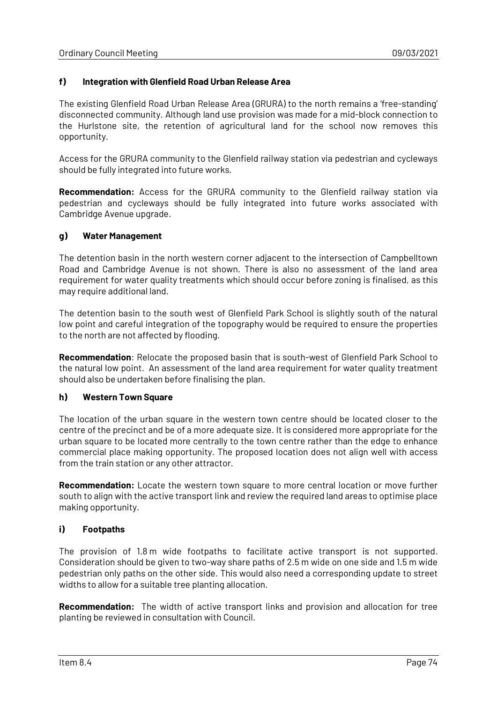## **f) Integration with Glenfield Road Urban Release Area**

The existing Glenfield Road Urban Release Area (GRURA) to the north remains a 'free-standing' disconnected community. Although land use provision was made for a mid-block connection to the Hurlstone site, the retention of agricultural land for the school now removes this opportunity.

Access for the GRURA community to the Glenfield railway station via pedestrian and cycleways should be fully integrated into future works.

**Recommendation:** Access for the GRURA community to the Glenfield railway station via pedestrian and cycleways should be fully integrated into future works associated with Cambridge Avenue upgrade.

#### **g) Water Management**

The detention basin in the north western corner adjacent to the intersection of Campbelltown Road and Cambridge Avenue is not shown. There is also no assessment of the land area requirement for water quality treatments which should occur before zoning is finalised, as this may require additional land.

The detention basin to the south west of Glenfield Park School is slightly south of the natural low point and careful integration of the topography would be required to ensure the properties to the north are not affected by flooding.

**Recommendation**: Relocate the proposed basin that is south-west of Glenfield Park School to the natural low point. An assessment of the land area requirement for water quality treatment should also be undertaken before finalising the plan.

### **h) Western Town Square**

The location of the urban square in the western town centre should be located closer to the centre of the precinct and be of a more adequate size. It is considered more appropriate for the urban square to be located more centrally to the town centre rather than the edge to enhance commercial place making opportunity. The proposed location does not align well with access from the train station or any other attractor.

**Recommendation:** Locate the western town square to more central location or move further south to align with the active transport link and review the required land areas to optimise place making opportunity.

### **i) Footpaths**

The provision of 1.8 m wide footpaths to facilitate active transport is not supported. Consideration should be given to two-way share paths of 2.5 m wide on one side and 1.5 m wide pedestrian only paths on the other side. This would also need a corresponding update to street widths to allow for a suitable tree planting allocation.

**Recommendation:** The width of active transport links and provision and allocation for tree planting be reviewed in consultation with Council.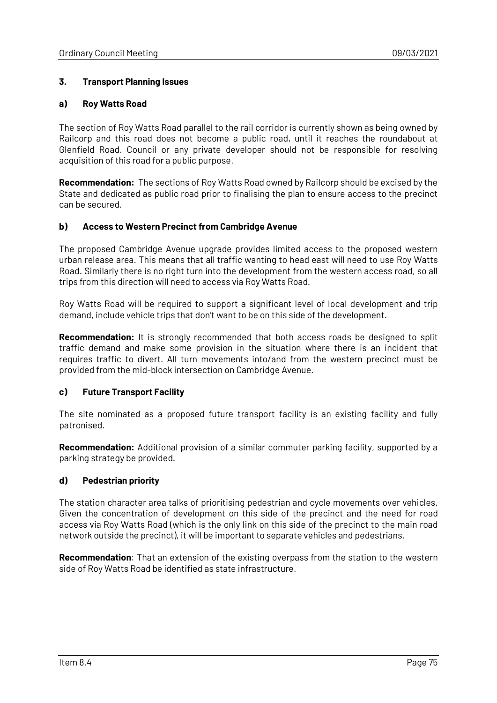## **3. Transport Planning Issues**

## **a) Roy Watts Road**

The section of Roy Watts Road parallel to the rail corridor is currently shown as being owned by Railcorp and this road does not become a public road, until it reaches the roundabout at Glenfield Road. Council or any private developer should not be responsible for resolving acquisition of this road for a public purpose.

**Recommendation:** The sections of Roy Watts Road owned by Railcorp should be excised by the State and dedicated as public road prior to finalising the plan to ensure access to the precinct can be secured.

## **b) Access to Western Precinct from Cambridge Avenue**

The proposed Cambridge Avenue upgrade provides limited access to the proposed western urban release area. This means that all traffic wanting to head east will need to use Roy Watts Road. Similarly there is no right turn into the development from the western access road, so all trips from this direction will need to access via Roy Watts Road.

Roy Watts Road will be required to support a significant level of local development and trip demand, include vehicle trips that don't want to be on this side of the development.

**Recommendation:** It is strongly recommended that both access roads be designed to split traffic demand and make some provision in the situation where there is an incident that requires traffic to divert. All turn movements into/and from the western precinct must be provided from the mid-block intersection on Cambridge Avenue.

### **c) Future Transport Facility**

The site nominated as a proposed future transport facility is an existing facility and fully patronised.

**Recommendation:** Additional provision of a similar commuter parking facility, supported by a parking strategy be provided.

### **d) Pedestrian priority**

The station character area talks of prioritising pedestrian and cycle movements over vehicles. Given the concentration of development on this side of the precinct and the need for road access via Roy Watts Road (which is the only link on this side of the precinct to the main road network outside the precinct), it will be important to separate vehicles and pedestrians.

**Recommendation**: That an extension of the existing overpass from the station to the western side of Roy Watts Road be identified as state infrastructure.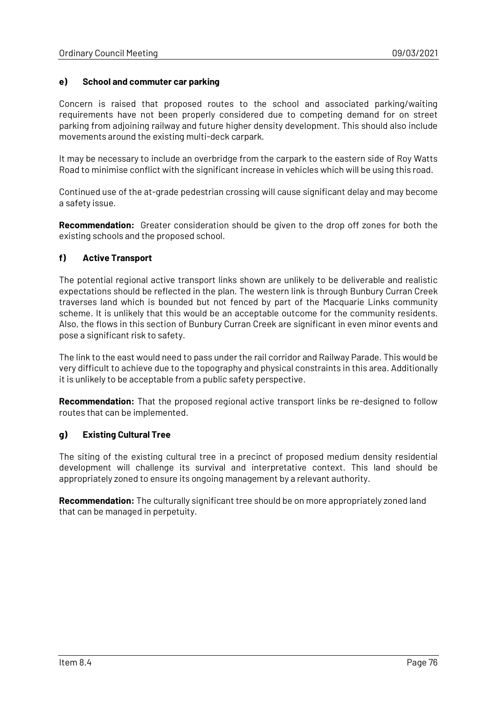## **e) School and commuter car parking**

Concern is raised that proposed routes to the school and associated parking/waiting requirements have not been properly considered due to competing demand for on street parking from adjoining railway and future higher density development. This should also include movements around the existing multi-deck carpark.

It may be necessary to include an overbridge from the carpark to the eastern side of Roy Watts Road to minimise conflict with the significant increase in vehicles which will be using this road.

Continued use of the at-grade pedestrian crossing will cause significant delay and may become a safety issue.

**Recommendation:** Greater consideration should be given to the drop off zones for both the existing schools and the proposed school.

## **f) Active Transport**

The potential regional active transport links shown are unlikely to be deliverable and realistic expectations should be reflected in the plan. The western link is through Bunbury Curran Creek traverses land which is bounded but not fenced by part of the Macquarie Links community scheme. It is unlikely that this would be an acceptable outcome for the community residents. Also, the flows in this section of Bunbury Curran Creek are significant in even minor events and pose a significant risk to safety.

The link to the east would need to pass under the rail corridor and Railway Parade. This would be very difficult to achieve due to the topography and physical constraints in this area. Additionally it is unlikely to be acceptable from a public safety perspective.

**Recommendation:** That the proposed regional active transport links be re-designed to follow routes that can be implemented.

### **g) Existing Cultural Tree**

The siting of the existing cultural tree in a precinct of proposed medium density residential development will challenge its survival and interpretative context. This land should be appropriately zoned to ensure its ongoing management by a relevant authority.

**Recommendation:** The culturally significant tree should be on more appropriately zoned land that can be managed in perpetuity.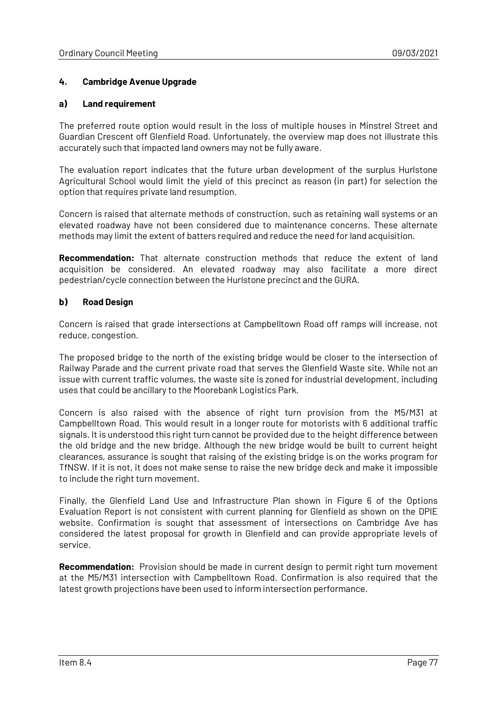## **4. Cambridge Avenue Upgrade**

#### **a) Land requirement**

The preferred route option would result in the loss of multiple houses in Minstrel Street and Guardian Crescent off Glenfield Road. Unfortunately, the overview map does not illustrate this accurately such that impacted land owners may not be fully aware.

The evaluation report indicates that the future urban development of the surplus Hurlstone Agricultural School would limit the yield of this precinct as reason (in part) for selection the option that requires private land resumption.

Concern is raised that alternate methods of construction, such as retaining wall systems or an elevated roadway have not been considered due to maintenance concerns. These alternate methods may limit the extent of batters required and reduce the need for land acquisition.

**Recommendation:** That alternate construction methods that reduce the extent of land acquisition be considered. An elevated roadway may also facilitate a more direct pedestrian/cycle connection between the Hurlstone precinct and the GURA.

### **b) Road Design**

Concern is raised that grade intersections at Campbelltown Road off ramps will increase, not reduce, congestion.

The proposed bridge to the north of the existing bridge would be closer to the intersection of Railway Parade and the current private road that serves the Glenfield Waste site. While not an issue with current traffic volumes, the waste site is zoned for industrial development, including uses that could be ancillary to the Moorebank Logistics Park.

Concern is also raised with the absence of right turn provision from the M5/M31 at Campbelltown Road. This would result in a longer route for motorists with 6 additional traffic signals. It is understood this right turn cannot be provided due to the height difference between the old bridge and the new bridge. Although the new bridge would be built to current height clearances, assurance is sought that raising of the existing bridge is on the works program for TfNSW. If it is not, it does not make sense to raise the new bridge deck and make it impossible to include the right turn movement.

Finally, the Glenfield Land Use and Infrastructure Plan shown in Figure 6 of the Options Evaluation Report is not consistent with current planning for Glenfield as shown on the DPIE website. Confirmation is sought that assessment of intersections on Cambridge Ave has considered the latest proposal for growth in Glenfield and can provide appropriate levels of service.

**Recommendation:** Provision should be made in current design to permit right turn movement at the M5/M31 intersection with Campbelltown Road. Confirmation is also required that the latest growth projections have been used to inform intersection performance.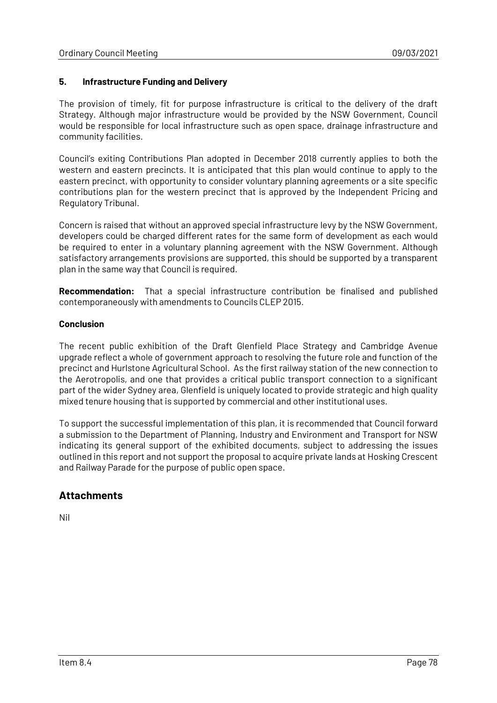## **5. Infrastructure Funding and Delivery**

The provision of timely, fit for purpose infrastructure is critical to the delivery of the draft Strategy. Although major infrastructure would be provided by the NSW Government, Council would be responsible for local infrastructure such as open space, drainage infrastructure and community facilities.

Council's exiting Contributions Plan adopted in December 2018 currently applies to both the western and eastern precincts. It is anticipated that this plan would continue to apply to the eastern precinct, with opportunity to consider voluntary planning agreements or a site specific contributions plan for the western precinct that is approved by the Independent Pricing and Regulatory Tribunal.

Concern is raised that without an approved special infrastructure levy by the NSW Government, developers could be charged different rates for the same form of development as each would be required to enter in a voluntary planning agreement with the NSW Government. Although satisfactory arrangements provisions are supported, this should be supported by a transparent plan in the same way that Council is required.

**Recommendation:** That a special infrastructure contribution be finalised and published contemporaneously with amendments to Councils CLEP 2015.

## **Conclusion**

The recent public exhibition of the Draft Glenfield Place Strategy and Cambridge Avenue upgrade reflect a whole of government approach to resolving the future role and function of the precinct and Hurlstone Agricultural School. As the first railway station of the new connection to the Aerotropolis, and one that provides a critical public transport connection to a significant part of the wider Sydney area, Glenfield is uniquely located to provide strategic and high quality mixed tenure housing that is supported by commercial and other institutional uses.

To support the successful implementation of this plan, it is recommended that Council forward a submission to the Department of Planning, Industry and Environment and Transport for NSW indicating its general support of the exhibited documents, subject to addressing the issues outlined in this report and not support the proposal to acquire private lands at Hosking Crescent and Railway Parade for the purpose of public open space.

# **Attachments**

Nil